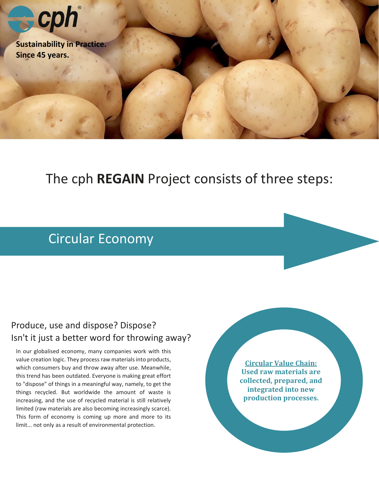

## The cph **REGAIN** Project consists of three steps:

## Circular Economy

### Produce, use and dispose? Dispose? Isn't it just a better word for throwing away?

In our globalised economy, many companies work with this value creation logic. They process raw materials into products, which consumers buy and throw away after use. Meanwhile, this trend has been outdated. Everyone is making great effort to "dispose" of things in a meaningful way, namely, to get the things recycled. But worldwide the amount of waste is increasing, and the use of recycled material is still relatively limited (raw materials are also becoming increasingly scarce). This form of economy is coming up more and more to its limit... not only as a result of environmental protection.

**Circular Value Chain: Used raw materials are collected, prepared, and integrated into new production processes.**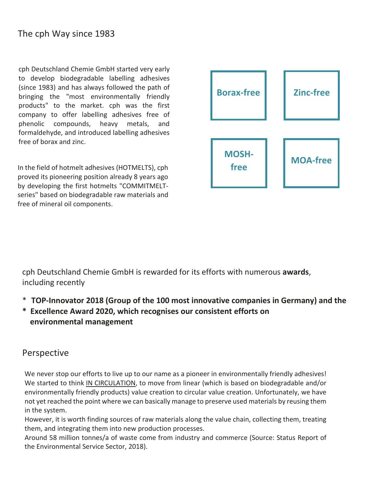cph Deutschland Chemie GmbH started very early to develop biodegradable labelling adhesives (since 1983) and has always followed the path of bringing the "most environmentally friendly products" to the market. cph was the first company to offer labelling adhesives free of phenolic compounds, heavy metals, and formaldehyde, and introduced labelling adhesives free of borax and zinc.

In the field of hotmelt adhesives (HOTMELTS), cph proved its pioneering position already 8 years ago by developing the first hotmelts "COMMITMELTseries" based on biodegradable raw materials and free of mineral oil components.



 cph Deutschland Chemie GmbH is rewarded for its efforts with numerous **awards**, including recently

- \* **TOP-Innovator 2018 (Group of the 100 most innovative companies in Germany) and the**
- **\* Excellence Award 2020, which recognises our consistent efforts on environmental management**

#### Perspective

We never stop our efforts to live up to our name as a pioneer in environmentally friendly adhesives! We started to think IN CIRCULATION, to move from linear (which is based on biodegradable and/or environmentally friendly products) value creation to circular value creation. Unfortunately, we have not yet reached the point where we can basically manage to preserve used materials by reusing them in the system.

However, it is worth finding sources of raw materials along the value chain, collecting them, treating them, and integrating them into new production processes.

Around 58 million tonnes/a of waste come from industry and commerce (Source: Status Report of the Environmental Service Sector, 2018).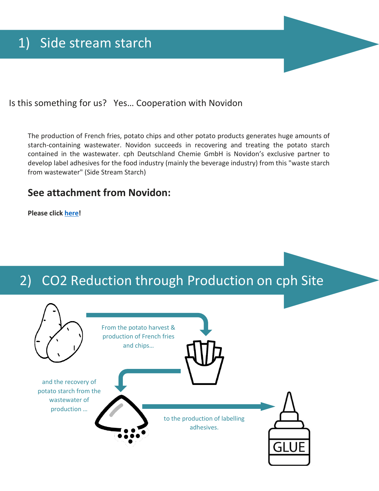Is this something for us? Yes… Cooperation with Novidon

The production of French fries, potato chips and other potato products generates huge amounts of starch-containing wastewater. Novidon succeeds in recovering and treating the potato starch contained in the wastewater. cph Deutschland Chemie GmbH is Novidon's exclusive partner to develop label adhesives for the food industry (mainly the beverage industry) from this "waste starch from wastewater" (Side Stream Starch)

### **See attachment from Novidon:**

**Please click [here!](https://www.cph-group.com/wp-content/uploads/2020/11/LCA-Factsheet-side-stream-potato-starch_Novidon_cph.pdf)**

# 2) CO2 Reduction through Production on cph Site